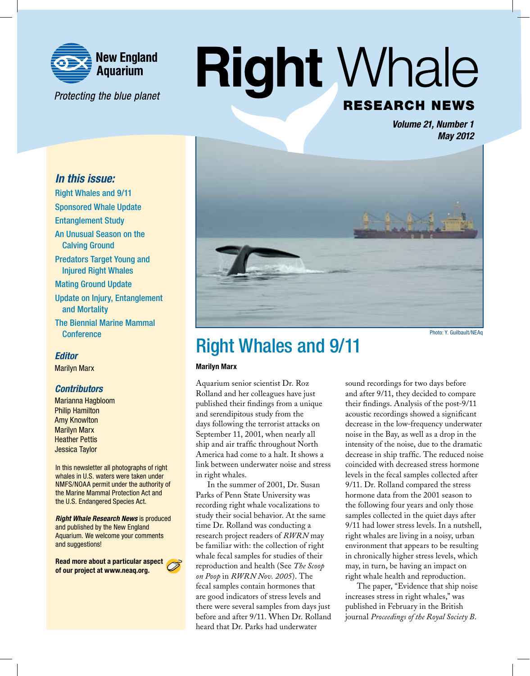

Protecting the blue planet

# **Right Whale RESEARCH NEWS**

*Volume 21, Number 1 May 2012*

### *In this issue:*

Right Whales and 9/11 Sponsored Whale Update Entanglement Study An Unusual Season on the Calving Ground Predators Target Young and Injured Right Whales Mating Ground Update Update on Injury, Entanglement and Mortality The Biennial Marine Mammal **Conference** 

### *Editor*

Marilyn Marx

### *Contributors*

Marianna Hagbloom Philip Hamilton Amy Knowlton Marilyn Marx Heather Pettis Jessica Taylor

In this newsletter all photographs of right whales in U.S. waters were taken under NMFS/NOAA permit under the authority of the Marine Mammal Protection Act and the U.S. Endangered Species Act.

*Right Whale Research News* is produced and published by the New England Aquarium. We welcome your comments and suggestions!

Read more about a particular aspect of our project at www.neaq.org.





#### Photo: Y. Guilbault/NEAq

### Right Whales and 9/11

#### Marilyn Marx

Aquarium senior scientist Dr. Roz Rolland and her colleagues have just published their findings from a unique and serendipitous study from the days following the terrorist attacks on September 11, 2001, when nearly all ship and air traffic throughout North America had come to a halt. It shows a link between underwater noise and stress in right whales.

In the summer of 2001, Dr. Susan Parks of Penn State University was recording right whale vocalizations to study their social behavior. At the same time Dr. Rolland was conducting a research project readers of *RWRN* may be familiar with: the collection of right whale fecal samples for studies of their reproduction and health (See *The Scoop on Poop* in *RWRN Nov. 2005*). The fecal samples contain hormones that are good indicators of stress levels and there were several samples from days just before and after 9/11. When Dr. Rolland heard that Dr. Parks had underwater

sound recordings for two days before and after 9/11, they decided to compare their findings. Analysis of the post-9/11 acoustic recordings showed a significant decrease in the low-frequency underwater noise in the Bay, as well as a drop in the intensity of the noise, due to the dramatic decrease in ship traffic. The reduced noise coincided with decreased stress hormone levels in the fecal samples collected after 9/11. Dr. Rolland compared the stress hormone data from the 2001 season to the following four years and only those samples collected in the quiet days after 9/11 had lower stress levels. In a nutshell, right whales are living in a noisy, urban environment that appears to be resulting in chronically higher stress levels, which may, in turn, be having an impact on right whale health and reproduction.

The paper, "Evidence that ship noise increases stress in right whales," was published in February in the British journal *Proceedings of the Royal Society B*.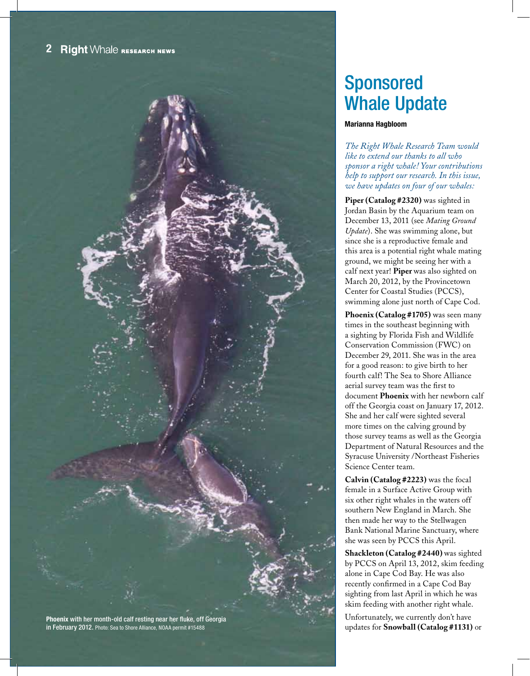

### Sponsored Whale Update

#### Marianna Hagbloom

*The Right Whale Research Team would like to extend our thanks to all who sponsor a right whale! Your contributions help to support our research. In this issue, we have updates on four of our whales:*

**Piper (Catalog #2320)** was sighted in Jordan Basin by the Aquarium team on December 13, 2011 (see *Mating Ground Update*). She was swimming alone, but since she is a reproductive female and this area is a potential right whale mating ground, we might be seeing her with a calf next year! **Piper** was also sighted on March 20, 2012, by the Provincetown Center for Coastal Studies (PCCS), swimming alone just north of Cape Cod.

**Phoenix (Catalog #1705)** was seen many times in the southeast beginning with a sighting by Florida Fish and Wildlife Conservation Commission (FWC) on December 29, 2011. She was in the area for a good reason: to give birth to her fourth calf! The Sea to Shore Alliance aerial survey team was the first to document **Phoenix** with her newborn calf off the Georgia coast on January 17, 2012. She and her calf were sighted several more times on the calving ground by those survey teams as well as the Georgia Department of Natural Resources and the Syracuse University /Northeast Fisheries Science Center team.

**Calvin (Catalog #2223)** was the focal female in a Surface Active Group with six other right whales in the waters off southern New England in March. She then made her way to the Stellwagen Bank National Marine Sanctuary, where she was seen by PCCS this April.

**Shackleton (Catalog #2440)** was sighted by PCCS on April 13, 2012, skim feeding alone in Cape Cod Bay. He was also recently confirmed in a Cape Cod Bay sighting from last April in which he was skim feeding with another right whale.

Unfortunately, we currently don't have updates for **Snowball (Catalog #1131)** or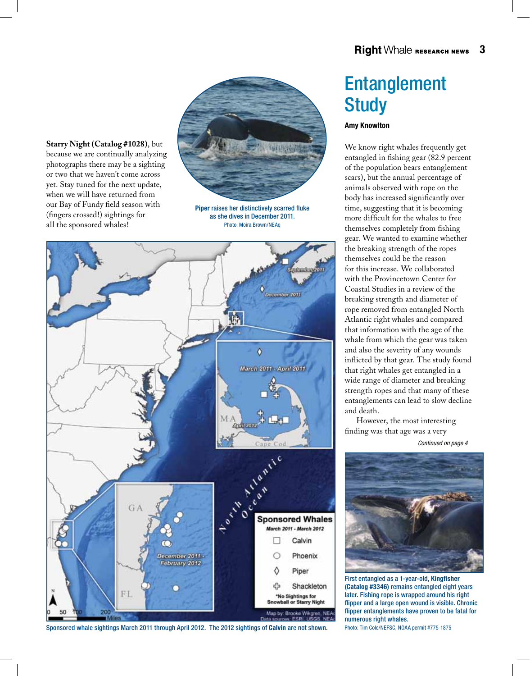

Piper raises her distinctively scarred fluke as she dives in December 2011. Photo: Moira Brown/NEAq



**Starry Night (Catalog #1028)**, but because we are continually analyzing photographs there may be a sighting or two that we haven't come across yet. Stay tuned for the next update, when we will have returned from our Bay of Fundy field season with (fingers crossed!) sightings for all the sponsored whales!

#### Sponsored whale sightings March 2011 through April 2012. The 2012 sightings of Calvin are not shown.

### Entanglement **Study**

#### Amy Knowlton

We know right whales frequently get entangled in fishing gear (82.9 percent of the population bears entanglement scars), but the annual percentage of animals observed with rope on the body has increased significantly over time, suggesting that it is becoming more difficult for the whales to free themselves completely from fishing gear. We wanted to examine whether the breaking strength of the ropes themselves could be the reason for this increase. We collaborated with the Provincetown Center for Coastal Studies in a review of the breaking strength and diameter of rope removed from entangled North Atlantic right whales and compared that information with the age of the whale from which the gear was taken and also the severity of any wounds inflicted by that gear. The study found that right whales get entangled in a wide range of diameter and breaking strength ropes and that many of these entanglements can lead to slow decline and death.

However, the most interesting finding was that age was a very

*Continued on page 4*



First entangled as a 1-year-old, Kingfisher (Catalog #3346) remains entangled eight years later. Fishing rope is wrapped around his right flipper and a large open wound is visible. Chronic flipper entanglements have proven to be fatal for numerous right whales.

Photo: Tim Cole/NEFSC, NOAA permit #775-1875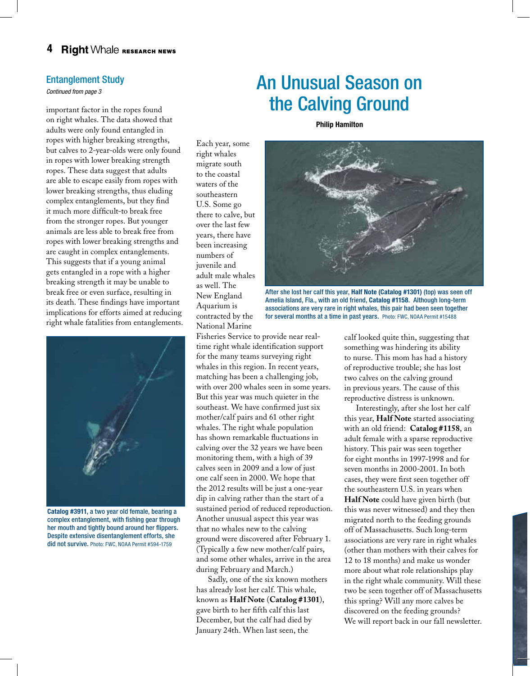### Entanglement Study

*Continued from page 3*

important factor in the ropes found on right whales. The data showed that adults were only found entangled in ropes with higher breaking strengths, but calves to 2-year-olds were only found in ropes with lower breaking strength ropes. These data suggest that adults are able to escape easily from ropes with lower breaking strengths, thus eluding complex entanglements, but they find it much more difficult-to break free from the stronger ropes. But younger animals are less able to break free from ropes with lower breaking strengths and are caught in complex entanglements. This suggests that if a young animal gets entangled in a rope with a higher breaking strength it may be unable to break free or even surface, resulting in its death. These findings have important implications for efforts aimed at reducing right whale fatalities from entanglements.



Catalog #3911, a two year old female, bearing a complex entanglement, with fishing gear through her mouth and tightly bound around her flippers. Despite extensive disentanglement efforts, she did not survive. Photo: FWC, NOAA Permit #594-1759

### Each year, some right whales migrate south to the coastal waters of the southeastern U.S. Some go there to calve, but over the last few years, there have been increasing numbers of juvenile and adult male whales as well. The New England

Aquarium is contracted by the National Marine

Fisheries Service to provide near realtime right whale identification support for the many teams surveying right whales in this region. In recent years, matching has been a challenging job, with over 200 whales seen in some years. But this year was much quieter in the southeast. We have confirmed just six mother/calf pairs and 61 other right whales. The right whale population has shown remarkable fluctuations in calving over the 32 years we have been monitoring them, with a high of 39 calves seen in 2009 and a low of just one calf seen in 2000. We hope that the 2012 results will be just a one-year dip in calving rather than the start of a sustained period of reduced reproduction. Another unusual aspect this year was that no whales new to the calving ground were discovered after February 1. (Typically a few new mother/calf pairs, and some other whales, arrive in the area during February and March.)

Sadly, one of the six known mothers has already lost her calf. This whale, known as **Half Note** (**Catalog #1301**), gave birth to her fifth calf this last December, but the calf had died by January 24th. When last seen, the

### An Unusual Season on the Calving Ground

Philip Hamilton



After she lost her calf this year, Half Note (Catalog #1301) (top) was seen off Amelia Island, Fla., with an old friend, Catalog #1158. Although long-term associations are very rare in right whales, this pair had been seen together for several months at a time in past years. Photo: FWC, NOAA Permit #15488

calf looked quite thin, suggesting that something was hindering its ability to nurse. This mom has had a history of reproductive trouble; she has lost two calves on the calving ground in previous years. The cause of this reproductive distress is unknown.

Interestingly, after she lost her calf this year, **Half Note** started associating with an old friend: **Catalog #1158**, an adult female with a sparse reproductive history. This pair was seen together for eight months in 1997-1998 and for seven months in 2000-2001. In both cases, they were first seen together off the southeastern U.S. in years when **Half Note** could have given birth (but this was never witnessed) and they then migrated north to the feeding grounds off of Massachusetts. Such long-term associations are very rare in right whales (other than mothers with their calves for 12 to 18 months) and make us wonder more about what role relationships play in the right whale community. Will these two be seen together off of Massachusetts this spring? Will any more calves be discovered on the feeding grounds? We will report back in our fall newsletter.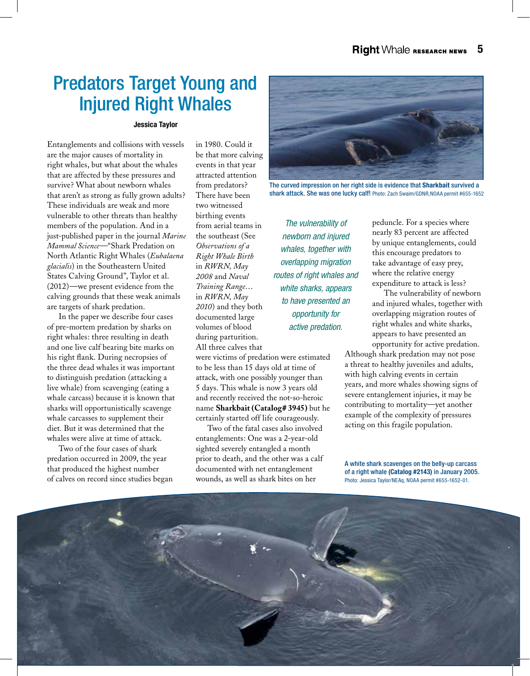### Predators Target Young and Injured Right Whales

#### Jessica Taylor

Entanglements and collisions with vessels are the major causes of mortality in right whales, but what about the whales that are affected by these pressures and survive? What about newborn whales that aren't as strong as fully grown adults? These individuals are weak and more vulnerable to other threats than healthy members of the population. And in a just-published paper in the journal *Marine Mammal Science*—"Shark Predation on North Atlantic Right Whales (*Eubalaena glacialis*) in the Southeastern United States Calving Ground", Taylor et al. (2012)—we present evidence from the calving grounds that these weak animals are targets of shark predation.

In the paper we describe four cases of pre-mortem predation by sharks on right whales: three resulting in death and one live calf bearing bite marks on his right flank. During necropsies of the three dead whales it was important to distinguish predation (attacking a live whale) from scavenging (eating a whale carcass) because it is known that sharks will opportunistically scavenge whale carcasses to supplement their diet. But it was determined that the whales were alive at time of attack.

Two of the four cases of shark predation occurred in 2009, the year that produced the highest number of calves on record since studies began in 1980. Could it be that more calving events in that year attracted attention from predators? There have been two witnessed birthing events from aerial teams in the southeast (See *Observations of a Right Whale Birth* in *RWRN, May 2008* and *Naval Training Range*… in *RWRN, May 2010*) and they both documented large volumes of blood during parturition. All three calves that

were victims of predation were estimated to be less than 15 days old at time of attack, with one possibly younger than 5 days. This whale is now 3 years old and recently received the not-so-heroic name **Sharkbait (Catalog# 3945)** but he certainly started off life courageously.

Two of the fatal cases also involved entanglements: One was a 2-year-old sighted severely entangled a month prior to death, and the other was a calf documented with net entanglement wounds, as well as shark bites on her



The curved impression on her right side is evidence that Sharkbait survived a shark attack. She was one lucky calf! Photo: Zach Swaim/GDNR,NOAA permit #655-1652

*The vulnerability of newborn and injured whales, together with overlapping migration routes of right whales and white sharks, appears to have presented an opportunity for active predation.* 

peduncle. For a species where nearly 83 percent are affected by unique entanglements, could this encourage predators to take advantage of easy prey, where the relative energy expenditure to attack is less?

The vulnerability of newborn and injured whales, together with overlapping migration routes of right whales and white sharks, appears to have presented an opportunity for active predation.

Although shark predation may not pose a threat to healthy juveniles and adults, with high calving events in certain years, and more whales showing signs of severe entanglement injuries, it may be contributing to mortality—yet another example of the complexity of pressures acting on this fragile population.

A white shark scavenges on the belly-up carcass of a right whale (Catalog #2143) in January 2005. Photo: Jessica Taylor/NEAq, NOAA permit #655-1652-01.

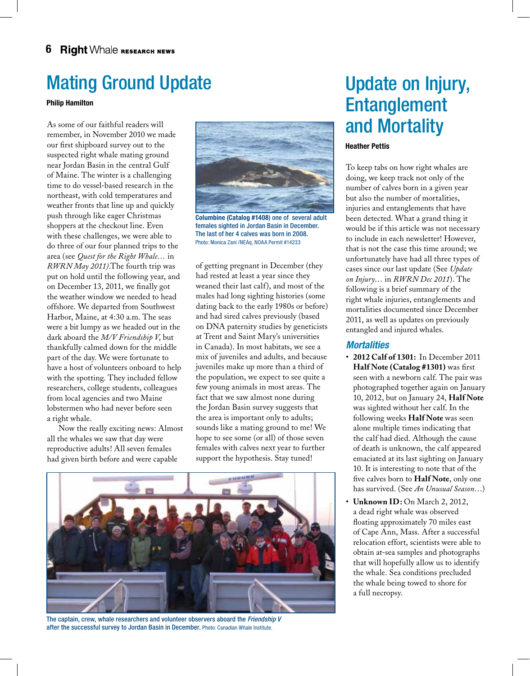### Mating Ground Update

#### Philip Hamilton

As some of our faithful readers will remember, in November 2010 we made our first shipboard survey out to the suspected right whale mating ground near Jordan Basin in the central Gulf of Maine. The winter is a challenging time to do vessel-based research in the northeast, with cold temperatures and weather fronts that line up and quickly push through like eager Christmas shoppers at the checkout line. Even with these challenges, we were able to do three of our four planned trips to the area (see *Quest for the Right Whale…* in *RWRN May 2011)*.The fourth trip was put on hold until the following year, and on December 13, 2011, we finally got the weather window we needed to head offshore. We departed from Southwest Harbor, Maine, at 4:30 a.m. The seas were a bit lumpy as we headed out in the dark aboard the *M/V Friendship V*, but thankfully calmed down for the middle part of the day. We were fortunate to have a host of volunteers onboard to help with the spotting. They included fellow researchers, college students, colleagues from local agencies and two Maine lobstermen who had never before seen a right whale.

Now the really exciting news: Almost all the whales we saw that day were reproductive adults! All seven females had given birth before and were capable



Columbine (Catalog #1408) one of several adult females sighted in Jordan Basin in December. The last of her 4 calves was born in 2008. Photo: Monica Zani /NEAq, NOAA Permit #14233

of getting pregnant in December (they had rested at least a year since they weaned their last calf), and most of the males had long sighting histories (some dating back to the early 1980s or before) and had sired calves previously (based on DNA paternity studies by geneticists at Trent and Saint Mary's universities in Canada). In most habitats, we see a mix of juveniles and adults, and because juveniles make up more than a third of the population, we expect to see quite a few young animals in most areas. The fact that we saw almost none during the Jordan Basin survey suggests that the area is important only to adults; sounds like a mating ground to me! We hope to see some (or all) of those seven females with calves next year to further support the hypothesis. Stay tuned!



The captain, crew, whale researchers and volunteer observers aboard the *Friendship V* after the successful survey to Jordan Basin in December. Photo: Canadian Whale Institute.

### Update on Injury, Entanglement and Mortality

#### Heather Pettis

To keep tabs on how right whales are doing, we keep track not only of the number of calves born in a given year but also the number of mortalities, injuries and entanglements that have been detected. What a grand thing it would be if this article was not necessary to include in each newsletter! However, that is not the case this time around; we unfortunately have had all three types of cases since our last update (See *Update on Injury*… in *RWRN Dec 2011*). The following is a brief summary of the right whale injuries, entanglements and mortalities documented since December 2011, as well as updates on previously entangled and injured whales.

### *Mortalities*

- • **2012 Calf of 1301:** In December 2011 **Half Note (Catalog #1301)** was first seen with a newborn calf. The pair was photographed together again on January 10, 2012, but on January 24, **Half Note**  was sighted without her calf. In the following weeks **Half Note** was seen alone multiple times indicating that the calf had died. Although the cause of death is unknown, the calf appeared emaciated at its last sighting on January 10. It is interesting to note that of the five calves born to **Half Note**, only one has survived. (See *An Unusual Season*…)
- **Unknown ID:** On March 2, 2012, a dead right whale was observed floating approximately 70 miles east of Cape Ann, Mass. After a successful relocation effort, scientists were able to obtain at-sea samples and photographs that will hopefully allow us to identify the whale. Sea conditions precluded the whale being towed to shore for a full necropsy.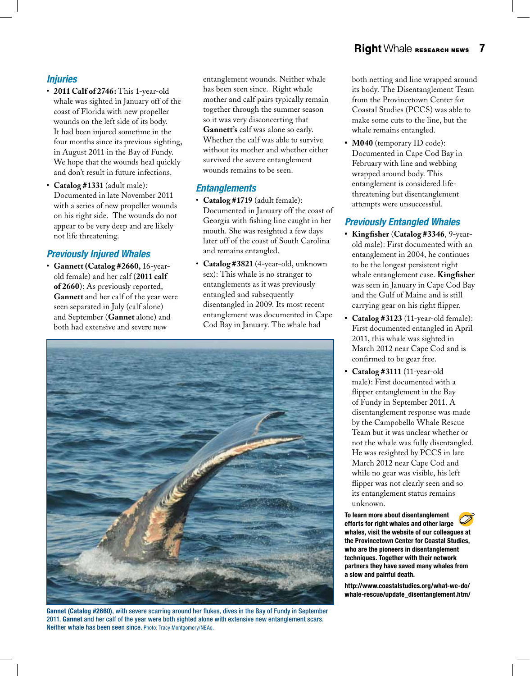### *Injuries*

- • **2011 Calf of 2746:** This 1-year-old whale was sighted in January off of the coast of Florida with new propeller wounds on the left side of its body. It had been injured sometime in the four months since its previous sighting, in August 2011 in the Bay of Fundy. We hope that the wounds heal quickly and don't result in future infections.
- • **Catalog #1331** (adult male): Documented in late November 2011 with a series of new propeller wounds on his right side. The wounds do not appear to be very deep and are likely not life threatening.

### *Previously Injured Whales*

• **Gannett (Catalog #2660,** 16-yearold female) and her calf (**2011 calf of 2660**): As previously reported, **Gannett** and her calf of the year were seen separated in July (calf alone) and September (**Gannet** alone) and both had extensive and severe new

entanglement wounds. Neither whale has been seen since. Right whale mother and calf pairs typically remain together through the summer season so it was very disconcerting that **Gannett's** calf was alone so early. Whether the calf was able to survive without its mother and whether either survived the severe entanglement wounds remains to be seen.

### *Entanglements*

- • **Catalog #1719** (adult female): Documented in January off the coast of Georgia with fishing line caught in her mouth. She was resighted a few days later off of the coast of South Carolina and remains entangled.
- • **Catalog #3821** (4-year-old, unknown sex): This whale is no stranger to entanglements as it was previously entangled and subsequently disentangled in 2009. Its most recent entanglement was documented in Cape Cod Bay in January. The whale had



Gannet (Catalog #2660), with severe scarring around her flukes, dives in the Bay of Fundy in September 2011. Gannet and her calf of the year were both sighted alone with extensive new entanglement scars. Neither whale has been seen since. Photo: Tracy Montgomery/NEAq.

both netting and line wrapped around its body. The Disentanglement Team from the Provincetown Center for Coastal Studies (PCCS) was able to make some cuts to the line, but the whale remains entangled.

• **M040** (temporary ID code): Documented in Cape Cod Bay in February with line and webbing wrapped around body. This entanglement is considered lifethreatening but disentanglement attempts were unsuccessful.

### *Previously Entangled Whales*

- **• Kingfisher** (**Catalog #3346**, 9-yearold male): First documented with an entanglement in 2004, he continues to be the longest persistent right whale entanglement case. **Kingfisher**  was seen in January in Cape Cod Bay and the Gulf of Maine and is still carrying gear on his right flipper.
- Catalog #3123 (11-year-old female): First documented entangled in April 2011, this whale was sighted in March 2012 near Cape Cod and is confirmed to be gear free.
- **• Catalog #3111** (11-year-old male): First documented with a flipper entanglement in the Bay of Fundy in September 2011. A disentanglement response was made by the Campobello Whale Rescue Team but it was unclear whether or not the whale was fully disentangled. He was resighted by PCCS in late March 2012 near Cape Cod and while no gear was visible, his left flipper was not clearly seen and so its entanglement status remains unknown.

To learn more about disentanglement efforts for right whales and other large whales, visit the website of our colleagues at the Provincetown Center for Coastal Studies, who are the pioneers in disentanglement techniques. Together with their network partners they have saved many whales from a slow and painful death.

http://www.coastalstudies.org/what-we-do/ whale-rescue/update\_disentanglement.htm/